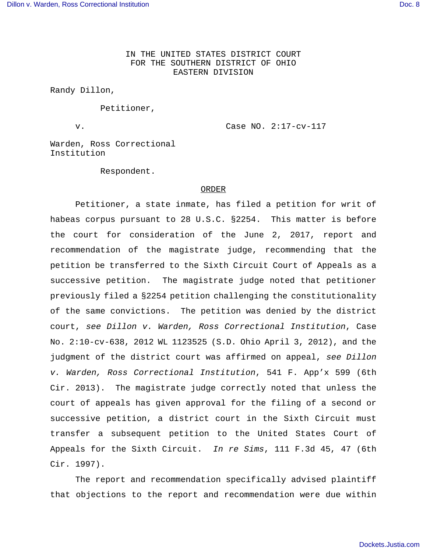IN THE UNITED STATES DISTRICT COURT FOR THE SOUTHERN DISTRICT OF OHIO EASTERN DIVISION

Randy Dillon,

Petitioner,

v. Case NO. 2:17-cv-117

Warden, Ross Correctional Institution

Respondent.

## ORDER

Petitioner, a state inmate, has filed a petition for writ of habeas corpus pursuant to 28 U.S.C. §2254. This matter is before the court for consideration of the June 2, 2017, report and recommendation of the magistrate judge, recommending that the petition be transferred to the Sixth Circuit Court of Appeals as a successive petition. The magistrate judge noted that petitioner previously filed a §2254 petition challenging the constitutionality of the same convictions. The petition was denied by the district court, see Dillon v. Warden, Ross Correctional Institution, Case No. 2:10-cv-638, 2012 WL 1123525 (S.D. Ohio April 3, 2012), and the judgment of the district court was affirmed on appeal, see Dillon v. Warden, Ross Correctional Institution, 541 F. App'x 599 (6th Cir. 2013). The magistrate judge correctly noted that unless the court of appeals has given approval for the filing of a second or successive petition, a district court in the Sixth Circuit must transfer a subsequent petition to the United States Court of Appeals for the Sixth Circuit. In re Sims, 111 F.3d 45, 47 (6th Cir. 1997).

The report and recommendation specifically advised plaintiff that objections to the report and recommendation were due within